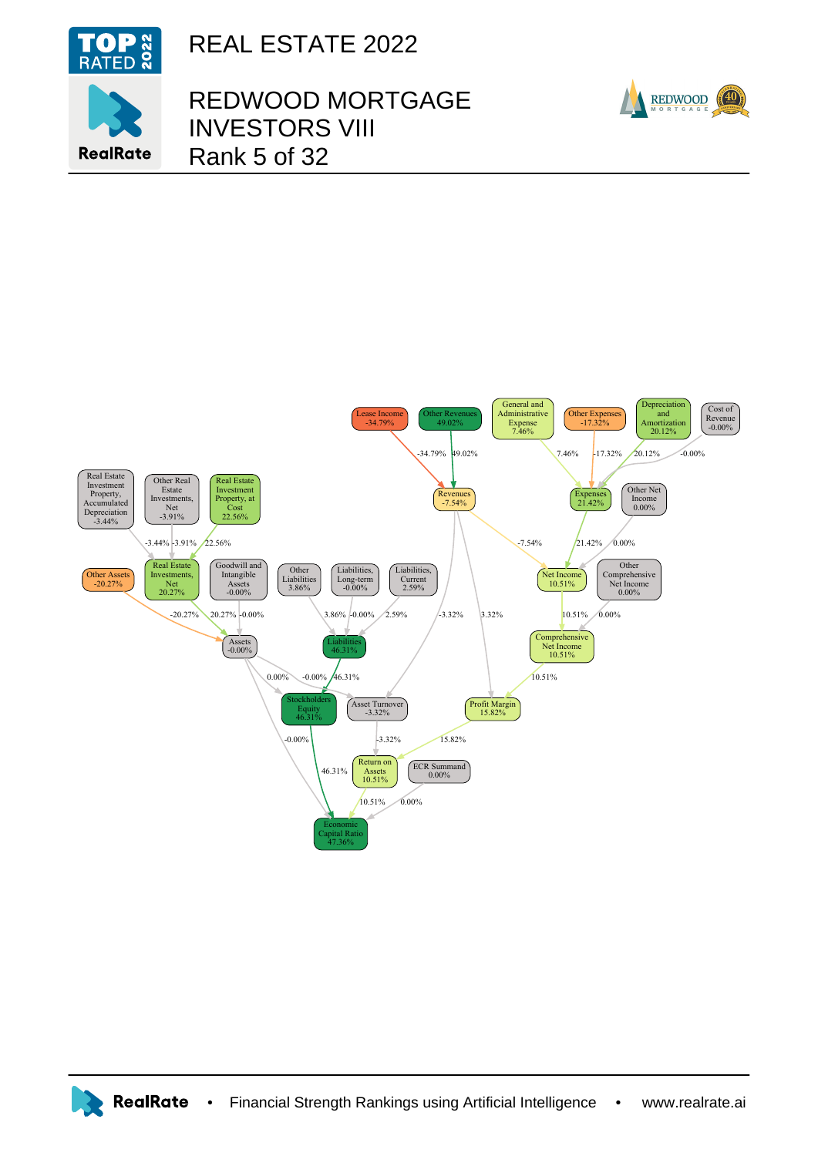

**RealRate** 

REAL ESTATE 2022